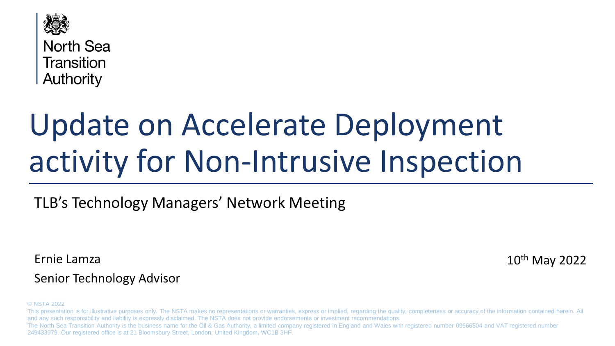

**North Sea Transition** Authority

# Update on Accelerate Deployment activity for Non-Intrusive Inspection

# TLB's Technology Managers' Network Meeting

Ernie Lamza

10th May 2022

#### Senior Technology Advisor

#### © NSTA 2022

This presentation is for illustrative purposes only. The NSTA makes no representations or warranties, express or implied, regarding the quality, completeness or accuracy of the information contained herein. All and any such responsibility and liability is expressly disclaimed. The NSTA does not provide endorsements or investment recommendations. The North Sea Transition Authority is the business name for the Oil & Gas Authority, a limited company registered in England and Wales with registered number 09666504 and VAT registered number 249433979. Our registered office is at 21 Bloomsbury Street, London, United Kingdom, WC1B 3HF.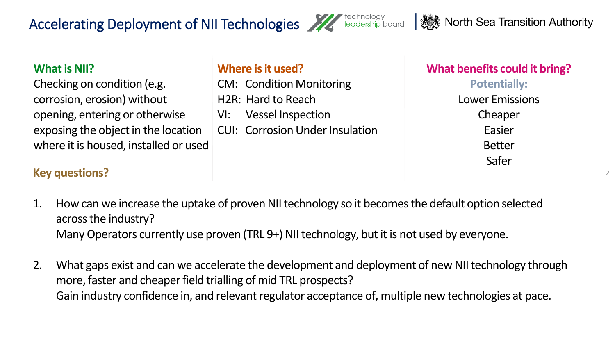# Accelerating Deployment of NII Technologies Allechnology



2

| <b>What is NII?</b><br>Checking on condition (e.g.<br>corrosion, erosion) without | Where is it used?<br><b>CM: Condition Monitoring</b><br>H2R: Hard to Reach | What benefits could it bring?<br><b>Potentially:</b><br><b>Lower Emissions</b> |
|-----------------------------------------------------------------------------------|----------------------------------------------------------------------------|--------------------------------------------------------------------------------|
| opening, entering or otherwise                                                    | <b>Vessel Inspection</b><br>$V$ l:                                         | Cheaper                                                                        |
| exposing the object in the location                                               | <b>CUI: Corrosion Under Insulation</b>                                     | Easier                                                                         |
| where it is housed, installed or used                                             |                                                                            | <b>Better</b>                                                                  |
| <b>Key questions?</b>                                                             |                                                                            | Safer                                                                          |

- 1. How can we increase the uptake of proven NII technology so it becomes the default option selected across the industry? Many Operators currently use proven (TRL 9+) NII technology, but it is not used by everyone.
- 2. What gaps exist and can we accelerate the development and deployment of new NII technology through more, faster and cheaper field trialling of mid TRL prospects? Gain industry confidence in, and relevant regulator acceptance of, multiple new technologies at pace.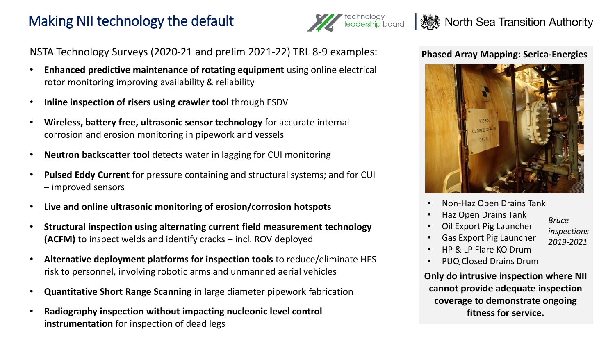# Making NII technology the default



### **A** North Sea Transition Authority

NSTA Technology Surveys (2020-21 and prelim 2021-22) TRL 8-9 examples:

- **Enhanced predictive maintenance of rotating equipment** using online electrical rotor monitoring improving availability & reliability
- **Inline inspection of risers using crawler tool** through ESDV
- **Wireless, battery free, ultrasonic sensor technology** for accurate internal corrosion and erosion monitoring in pipework and vessels
- **Neutron backscatter tool** detects water in lagging for CUI monitoring
- **Pulsed Eddy Current** for pressure containing and structural systems; and for CUI – improved sensors
- **Live and online ultrasonic monitoring of erosion/corrosion hotspots**
- **(ACFM)** to inspect welds and identify cracks incl. ROV deployed • **Structural inspection using alternating current field measurement technology**
- **Alternative deployment platforms for inspection tools** to reduce/eliminate HES risk to personnel, involving robotic arms and unmanned aerial vehicles
- **Quantitative Short Range Scanning** in large diameter pipework fabrication
- **Radiography inspection without impacting nucleonic level control instrumentation** for inspection of dead legs

#### **Phased Array Mapping: Serica-Energies**



- Non-Haz Open Drains Tank
- Haz Open Drains Tank
- Oil Export Pig Launcher
- Gas Export Pig Launcher
- HP & LP Flare KO Drum
- PUQ Closed Drains Drum

**Only do intrusive inspection where NII cannot provide adequate inspection coverage to demonstrate ongoing fitness for service.** 

*Bruce* 

*inspections 2019-2021*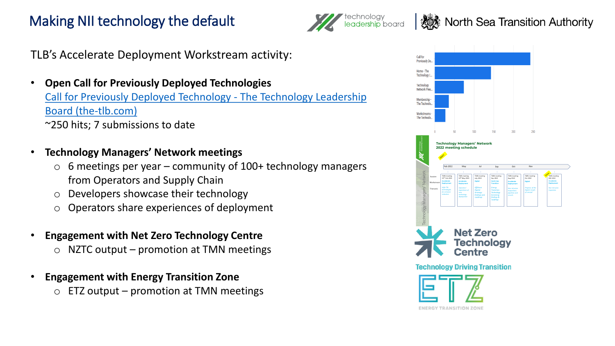# Making NII technology the default



North Sea Transition Authority

TLB's Accelerate Deployment Workstream activity:

- **Open Call for Previously Deployed Technologies** [Call for Previously Deployed Technology -](http://www.the-tlb.com/call-for-previously-deployed-technology.html) The Technology Leadership Board (the-tlb.com) ~250 hits; 7 submissions to date
- **Technology Managers' Network meetings**
	- $\circ$  6 meetings per year community of 100+ technology managers from Operators and Supply Chain
	- o Developers showcase their technology
	- o Operators share experiences of deployment
- **Engagement with Net Zero Technology Centre** 
	- $\circ$  NZTC output promotion at TMN meetings
- **Engagement with Energy Transition Zone**  $\circ$  ETZ output – promotion at TMN meetings



ENERGY TRANSITION ZON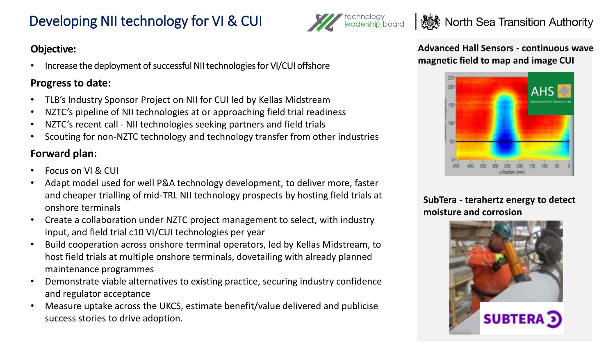# Developing NII technology for VI & CUI

# **A** North Sea Transition Authority

#### **Objective:**

• Increase the deployment of successful NII technologies for VI/CUI offshore

#### **Progress to date:**

- TLB's Industry Sponsor Project on NII for CUI led by Kellas Midstream
- NZTC's pipeline of NII technologies at or approaching field trial readiness
- NZTC's recent call NII technologies seeking partners and field trials
- Scouting for non-NZTC technology and technology transfer from other industries

#### **Forward plan:**

- Focus on VI & CUI
- Adapt model used for well P&A technology development, to deliver more, faster and cheaper trialling of mid-TRL NII technology prospects by hosting field trials at onshore terminals
- input, and field trial c10 VI/CUI technologies per year<br>**Puild cooperation across onshore terminal operators** • Create a collaboration under NZTC project management to select, with industry
- Build cooperation across onshore terminal operators, led by Kellas Midstream, to host field trials at multiple onshore terminals, dovetailing with already planned maintenance programmes
- Demonstrate viable alternatives to existing practice, securing industry confidence and regulator acceptance
- Measure uptake across the UKCS, estimate benefit/value delivered and publicise success stories to drive adoption.

**Advanced Hall Sensors - continuous wave magnetic field to map and image CUI**



**SubTera - terahertz energy to detect moisture and corrosion**